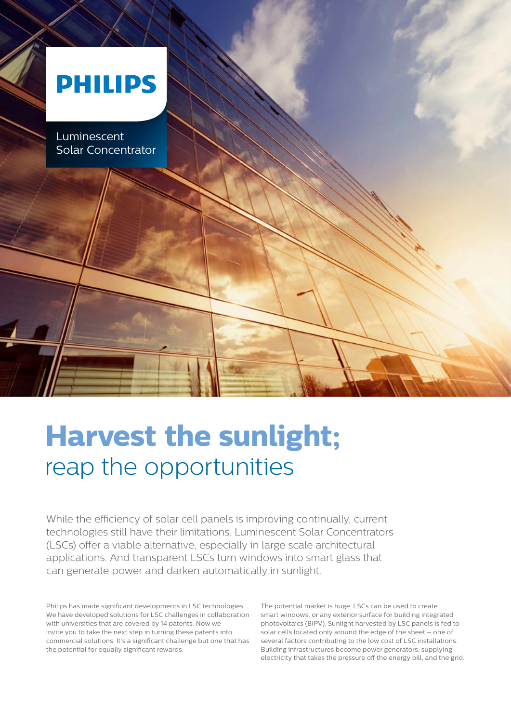# **PHILIPS**

Luminescent<br>Solar Concentrator Luminescent

 $\mathbb{R}$ 

# **Harvest the sunlight;** reap the opportunities

While the efficiency of solar cell panels is improving continually, current technologies still have their limitations. Luminescent Solar Concentrators (LSCs) offer a viable alternative, especially in large scale architectural applications. And transparent LSCs turn windows into smart glass that can generate power and darken automatically in sunlight.

Philips has made significant developments in LSC technologies. We have developed solutions for LSC challenges in collaboration with universities that are covered by 14 patents. Now we invite you to take the next step in turning these patents into commercial solutions. It's a significant challenge but one that has the potential for equally significant rewards.

The potential market is huge. LSCs can be used to create smart windows, or any exterior surface for building integrated photovoltaics (BIPV). Sunlight harvested by LSC panels is fed to solar cells located only around the edge of the sheet – one of several factors contributing to the low cost of LSC installations. Building infrastructures become power generators, supplying electricity that takes the pressure off the energy bill, and the grid.